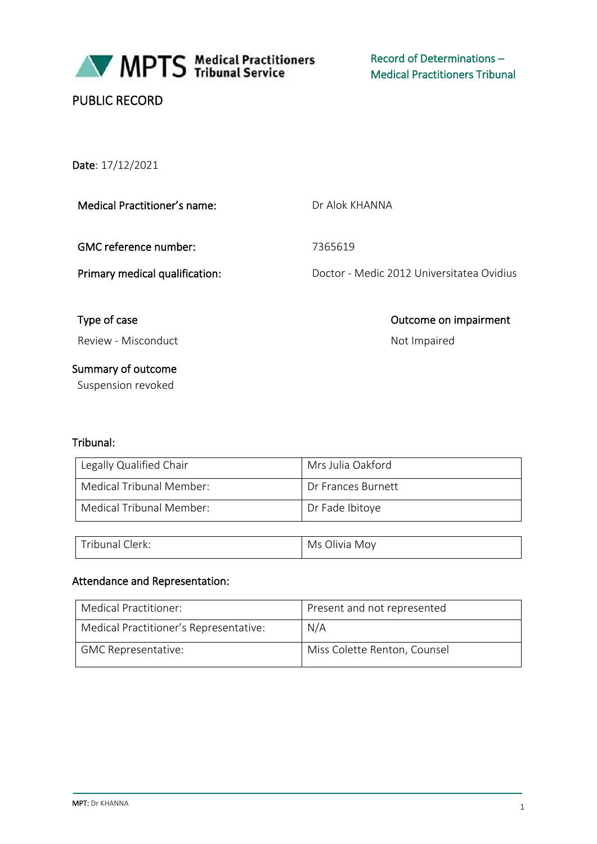

MPTS Medical Practitioners

# PUBLIC RECORD

Date: 17/12/2021

| <b>Medical Practitioner's name:</b> |  |
|-------------------------------------|--|
|                                     |  |

GMC reference number: 7365619

Dr Alok KHANNA

Primary medical qualification: Doctor - Medic 2012 Universitatea Ovidius

Type of case **Outcome on impairment** 

Review - Misconduct Not Impaired

Summary of outcome Suspension revoked

#### Tribunal:

| Legally Qualified Chair  | Mrs Julia Oakford  |
|--------------------------|--------------------|
| Medical Tribunal Member: | Dr Frances Burnett |
| Medical Tribunal Member: | Dr Fade Ibitoye    |

| ∟ Tribunal | Olivia Moy |
|------------|------------|
| ์:lerk:    | Ms         |

#### Attendance and Representation:

| Medical Practitioner:                  | Present and not represented  |
|----------------------------------------|------------------------------|
| Medical Practitioner's Representative: | N/A                          |
| <b>GMC Representative:</b>             | Miss Colette Renton, Counsel |

**MPT:** Dr KHANNA 1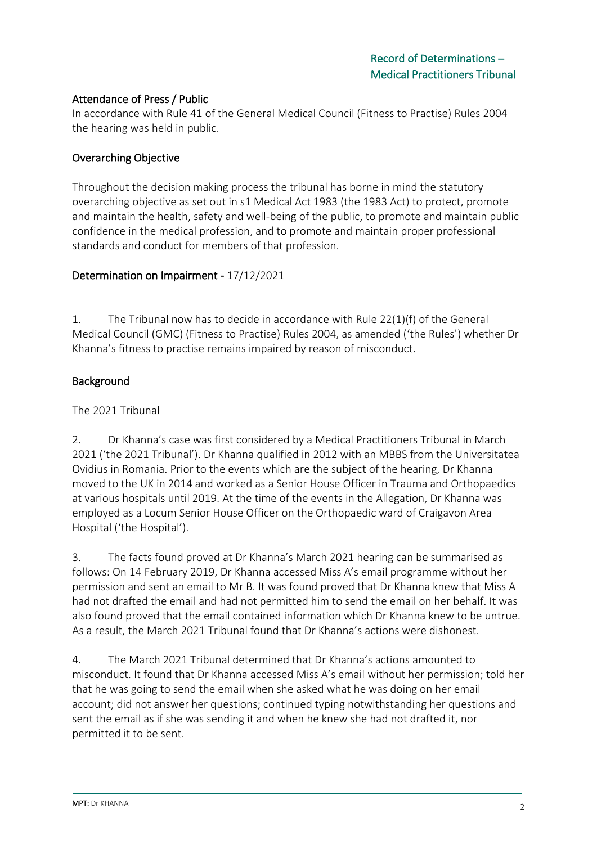### Attendance of Press / Public

In accordance with Rule 41 of the General Medical Council (Fitness to Practise) Rules 2004 the hearing was held in public.

### Overarching Objective

Throughout the decision making process the tribunal has borne in mind the statutory overarching objective as set out in s1 Medical Act 1983 (the 1983 Act) to protect, promote and maintain the health, safety and well-being of the public, to promote and maintain public confidence in the medical profession, and to promote and maintain proper professional standards and conduct for members of that profession.

#### Determination on Impairment - 17/12/2021

1. The Tribunal now has to decide in accordance with Rule 22(1)(f) of the General Medical Council (GMC) (Fitness to Practise) Rules 2004, as amended ('the Rules') whether Dr Khanna's fitness to practise remains impaired by reason of misconduct.

### Background

#### The 2021 Tribunal

2. Dr Khanna's case was first considered by a Medical Practitioners Tribunal in March 2021 ('the 2021 Tribunal'). Dr Khanna qualified in 2012 with an MBBS from the Universitatea Ovidius in Romania. Prior to the events which are the subject of the hearing, Dr Khanna moved to the UK in 2014 and worked as a Senior House Officer in Trauma and Orthopaedics at various hospitals until 2019. At the time of the events in the Allegation, Dr Khanna was employed as a Locum Senior House Officer on the Orthopaedic ward of Craigavon Area Hospital ('the Hospital').

3. The facts found proved at Dr Khanna's March 2021 hearing can be summarised as follows: On 14 February 2019, Dr Khanna accessed Miss A's email programme without her permission and sent an email to Mr B. It was found proved that Dr Khanna knew that Miss A had not drafted the email and had not permitted him to send the email on her behalf. It was also found proved that the email contained information which Dr Khanna knew to be untrue. As a result, the March 2021 Tribunal found that Dr Khanna's actions were dishonest.

4. The March 2021 Tribunal determined that Dr Khanna's actions amounted to misconduct. It found that Dr Khanna accessed Miss A's email without her permission; told her that he was going to send the email when she asked what he was doing on her email account; did not answer her questions; continued typing notwithstanding her questions and sent the email as if she was sending it and when he knew she had not drafted it, nor permitted it to be sent.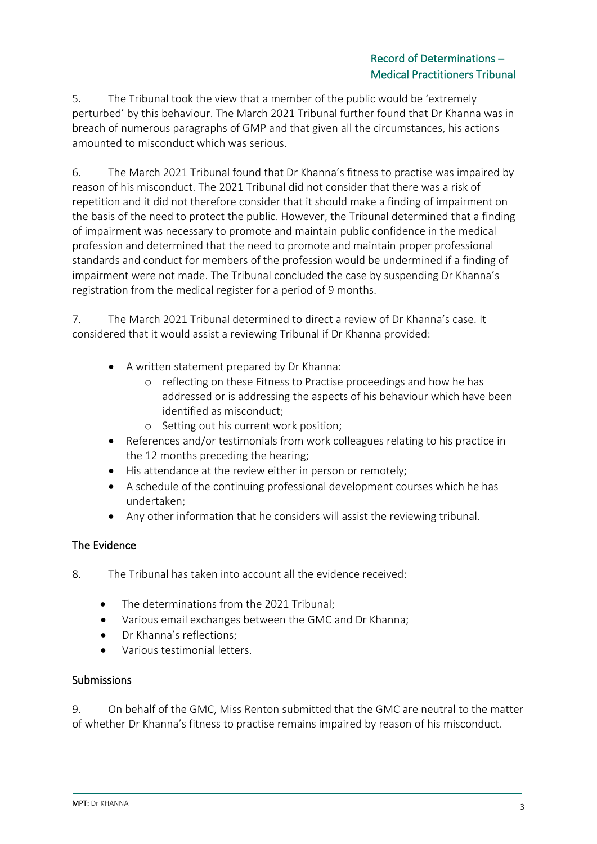# Record of Determinations – Medical Practitioners Tribunal

5. The Tribunal took the view that a member of the public would be 'extremely perturbed' by this behaviour. The March 2021 Tribunal further found that Dr Khanna was in breach of numerous paragraphs of GMP and that given all the circumstances, his actions amounted to misconduct which was serious.

6. The March 2021 Tribunal found that Dr Khanna's fitness to practise was impaired by reason of his misconduct. The 2021 Tribunal did not consider that there was a risk of repetition and it did not therefore consider that it should make a finding of impairment on the basis of the need to protect the public. However, the Tribunal determined that a finding of impairment was necessary to promote and maintain public confidence in the medical profession and determined that the need to promote and maintain proper professional standards and conduct for members of the profession would be undermined if a finding of impairment were not made. The Tribunal concluded the case by suspending Dr Khanna's registration from the medical register for a period of 9 months.

7. The March 2021 Tribunal determined to direct a review of Dr Khanna's case. It considered that it would assist a reviewing Tribunal if Dr Khanna provided:

- A written statement prepared by Dr Khanna:
	- o reflecting on these Fitness to Practise proceedings and how he has addressed or is addressing the aspects of his behaviour which have been identified as misconduct;
	- o Setting out his current work position;
- References and/or testimonials from work colleagues relating to his practice in the 12 months preceding the hearing;
- His attendance at the review either in person or remotely;
- A schedule of the continuing professional development courses which he has undertaken;
- Any other information that he considers will assist the reviewing tribunal.

# The Evidence

- 8. The Tribunal has taken into account all the evidence received:
	- The determinations from the 2021 Tribunal;
	- Various email exchanges between the GMC and Dr Khanna;
	- Dr Khanna's reflections;
	- Various testimonial letters.

#### Submissions

9. On behalf of the GMC, Miss Renton submitted that the GMC are neutral to the matter of whether Dr Khanna's fitness to practise remains impaired by reason of his misconduct.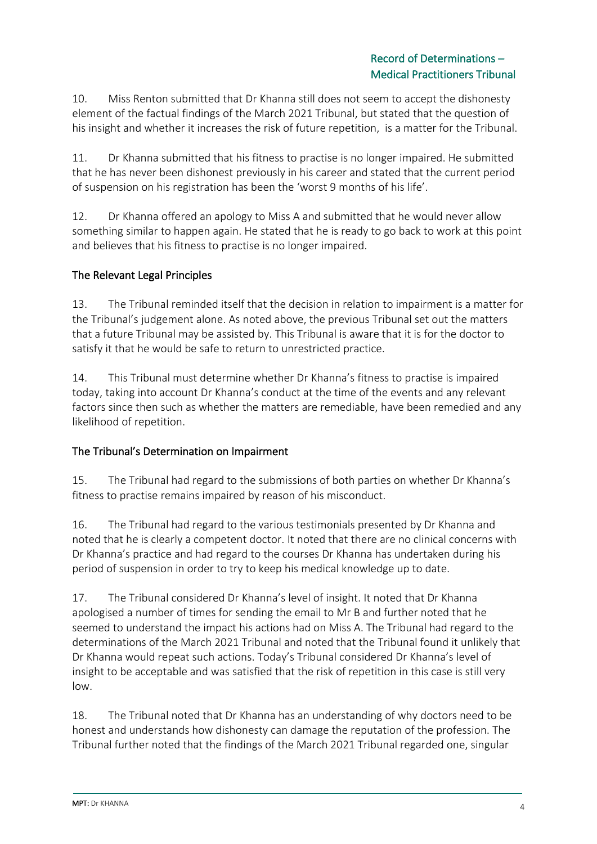10. Miss Renton submitted that Dr Khanna still does not seem to accept the dishonesty element of the factual findings of the March 2021 Tribunal, but stated that the question of his insight and whether it increases the risk of future repetition, is a matter for the Tribunal.

11. Dr Khanna submitted that his fitness to practise is no longer impaired. He submitted that he has never been dishonest previously in his career and stated that the current period of suspension on his registration has been the 'worst 9 months of his life'.

12. Dr Khanna offered an apology to Miss A and submitted that he would never allow something similar to happen again. He stated that he is ready to go back to work at this point and believes that his fitness to practise is no longer impaired.

# The Relevant Legal Principles

13. The Tribunal reminded itself that the decision in relation to impairment is a matter for the Tribunal's judgement alone. As noted above, the previous Tribunal set out the matters that a future Tribunal may be assisted by. This Tribunal is aware that it is for the doctor to satisfy it that he would be safe to return to unrestricted practice.

14. This Tribunal must determine whether Dr Khanna's fitness to practise is impaired today, taking into account Dr Khanna's conduct at the time of the events and any relevant factors since then such as whether the matters are remediable, have been remedied and any likelihood of repetition.

# The Tribunal's Determination on Impairment

15. The Tribunal had regard to the submissions of both parties on whether Dr Khanna's fitness to practise remains impaired by reason of his misconduct.

16. The Tribunal had regard to the various testimonials presented by Dr Khanna and noted that he is clearly a competent doctor. It noted that there are no clinical concerns with Dr Khanna's practice and had regard to the courses Dr Khanna has undertaken during his period of suspension in order to try to keep his medical knowledge up to date.

17. The Tribunal considered Dr Khanna's level of insight. It noted that Dr Khanna apologised a number of times for sending the email to Mr B and further noted that he seemed to understand the impact his actions had on Miss A. The Tribunal had regard to the determinations of the March 2021 Tribunal and noted that the Tribunal found it unlikely that Dr Khanna would repeat such actions. Today's Tribunal considered Dr Khanna's level of insight to be acceptable and was satisfied that the risk of repetition in this case is still very low.

18. The Tribunal noted that Dr Khanna has an understanding of why doctors need to be honest and understands how dishonesty can damage the reputation of the profession. The Tribunal further noted that the findings of the March 2021 Tribunal regarded one, singular